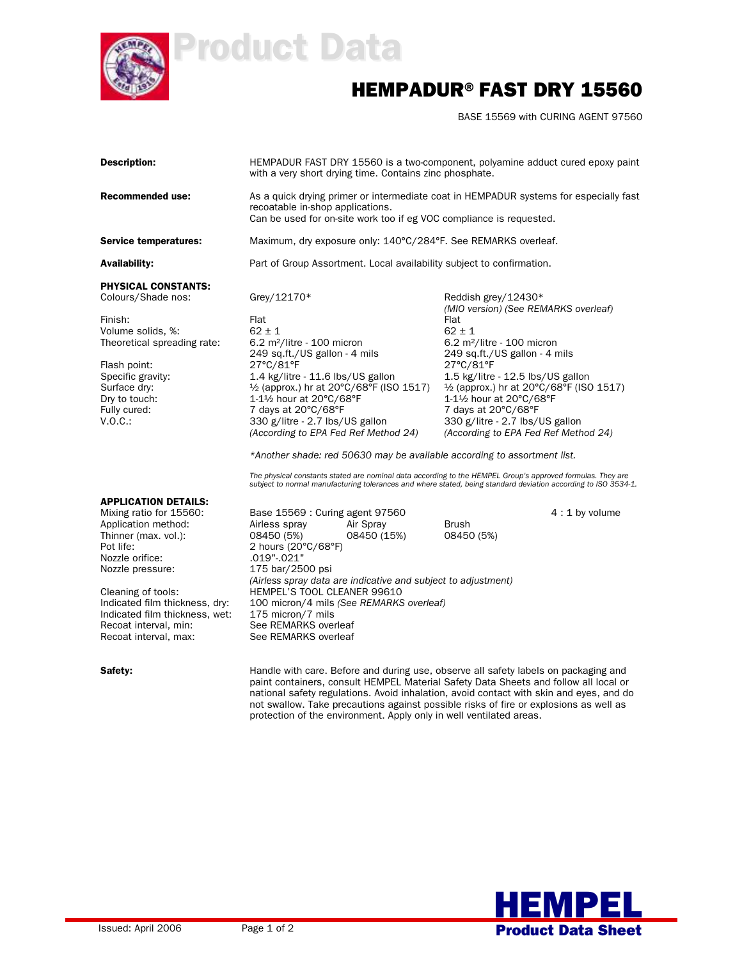

## Product Data

## HEMPADUR®FAST DRY 15560

BASE 15569 with CURING AGENT 97560

| <b>Description:</b>                                                                                                                                                                                                                                                                                   | HEMPADUR FAST DRY 15560 is a two-component, polyamine adduct cured epoxy paint<br>with a very short drying time. Contains zinc phosphate.                                                                                                                                                                                                                                    |                                                                                                                                                                                                                          |  |  |  |  |  |  |
|-------------------------------------------------------------------------------------------------------------------------------------------------------------------------------------------------------------------------------------------------------------------------------------------------------|------------------------------------------------------------------------------------------------------------------------------------------------------------------------------------------------------------------------------------------------------------------------------------------------------------------------------------------------------------------------------|--------------------------------------------------------------------------------------------------------------------------------------------------------------------------------------------------------------------------|--|--|--|--|--|--|
| Recommended use:                                                                                                                                                                                                                                                                                      | As a quick drying primer or intermediate coat in HEMPADUR systems for especially fast<br>recoatable in-shop applications.<br>Can be used for on-site work too if eg VOC compliance is requested.                                                                                                                                                                             |                                                                                                                                                                                                                          |  |  |  |  |  |  |
| <b>Service temperatures:</b>                                                                                                                                                                                                                                                                          | Maximum, dry exposure only: 140°C/284°F. See REMARKS overleaf.                                                                                                                                                                                                                                                                                                               |                                                                                                                                                                                                                          |  |  |  |  |  |  |
| Availability:                                                                                                                                                                                                                                                                                         | Part of Group Assortment. Local availability subject to confirmation.                                                                                                                                                                                                                                                                                                        |                                                                                                                                                                                                                          |  |  |  |  |  |  |
| PHYSICAL CONSTANTS:<br>Colours/Shade nos:                                                                                                                                                                                                                                                             | Grey/12170*                                                                                                                                                                                                                                                                                                                                                                  | Reddish grey/12430*<br>(MIO version) (See REMARKS overleaf)                                                                                                                                                              |  |  |  |  |  |  |
| Finish:<br>Volume solids, %:<br>Theoretical spreading rate:                                                                                                                                                                                                                                           | Flat<br>$62 \pm 1$<br>6.2 m <sup>2</sup> /litre - 100 micron<br>249 sq.ft./US gallon - 4 mils                                                                                                                                                                                                                                                                                | Flat<br>$62 \pm 1$<br>6.2 m <sup>2</sup> /litre - 100 micron<br>249 sq.ft./US gallon - 4 mils                                                                                                                            |  |  |  |  |  |  |
| Flash point:<br>Specific gravity:<br>Surface dry:<br>Dry to touch:<br>Fully cured:<br>V.O.C.                                                                                                                                                                                                          | 27°C/81°F<br>1.4 kg/litre - 11.6 lbs/US gallon<br>1/2 (approx.) hr at 20°C/68°F (ISO 1517)<br>1-11/2 hour at 20°C/68°F<br>7 days at 20°C/68°F<br>330 g/litre - 2.7 lbs/US gallon<br>(According to EPA Fed Ref Method 24)                                                                                                                                                     | 27°C/81°F<br>1.5 kg/litre - 12.5 lbs/US gallon<br>1/2 (approx.) hr at 20°C/68°F (ISO 1517)<br>1-11/2 hour at 20°C/68°F<br>7 days at 20°C/68°F<br>330 g/litre - 2.7 lbs/US gallon<br>(According to EPA Fed Ref Method 24) |  |  |  |  |  |  |
|                                                                                                                                                                                                                                                                                                       | *Another shade: red 50630 may be available according to assortment list.<br>The physical constants stated are nominal data according to the HEMPEL Group's approved formulas. They are<br>subject to normal manufacturing tolerances and where stated, being standard deviation according to ISO 3534-1.                                                                     |                                                                                                                                                                                                                          |  |  |  |  |  |  |
| <b>APPLICATION DETAILS:</b><br>Mixing ratio for 15560:<br>Application method:<br>Thinner (max. vol.):<br>Pot life:<br>Nozzle orifice:<br>Nozzle pressure:<br>Cleaning of tools:<br>Indicated film thickness, dry:<br>Indicated film thickness, wet:<br>Recoat interval, min:<br>Recoat interval, max: | Base 15569 : Curing agent 97560<br>Air Spray<br>Airless spray<br>08450 (5%)<br>08450 (15%)<br>2 hours (20°C/68°F)<br>.019"-.021"<br>175 bar/2500 psi<br>(Airless spray data are indicative and subject to adjustment)<br><b>HEMPEL'S TOOL CLEANER 99610</b><br>100 micron/4 mils (See REMARKS overleaf)<br>175 micron/7 mils<br>See REMARKS overleaf<br>See REMARKS overleaf | $4:1$ by volume<br><b>Brush</b><br>08450 (5%)                                                                                                                                                                            |  |  |  |  |  |  |

Safety: **Safety:** Handle with care. Before and during use, observe all safety labels on packaging and paint containers, consult HEMPEL Material Safety Data Sheets and follow all local or national safety regulations. Avoid inhalation, avoid contact with skin and eyes, and do not swallow. Take precautions against possible risks of fire or explosions as well as protection of the environment. Apply only in well ventilated areas.